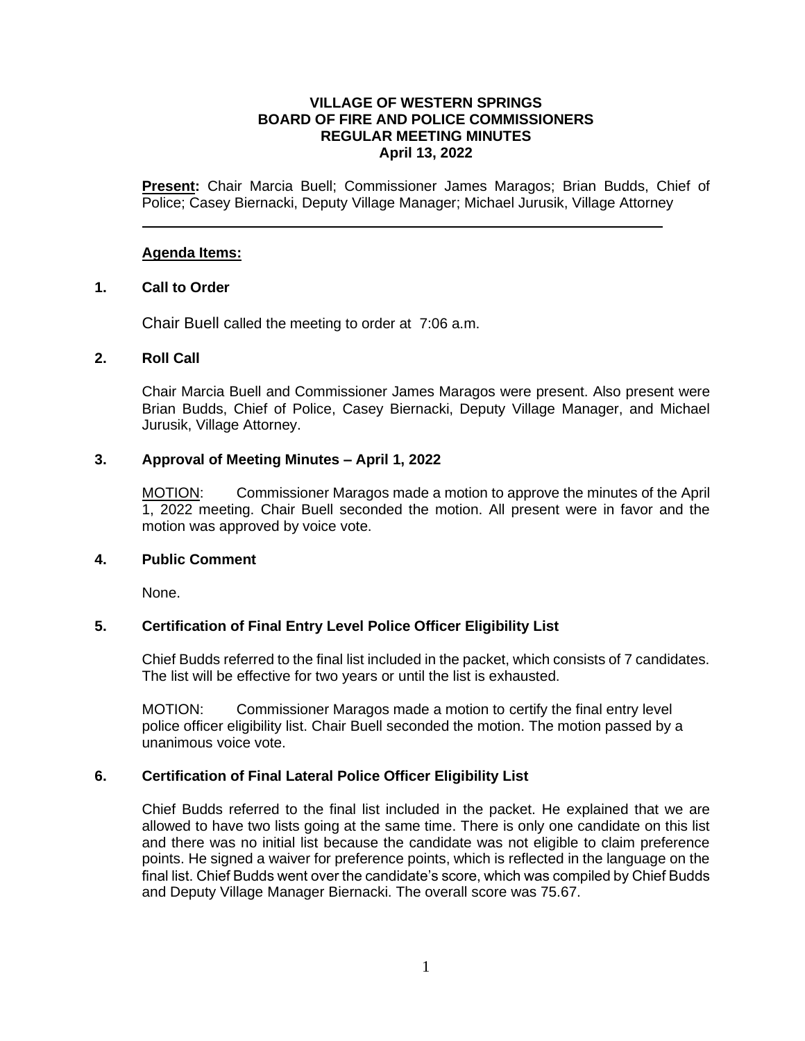# **VILLAGE OF WESTERN SPRINGS BOARD OF FIRE AND POLICE COMMISSIONERS REGULAR MEETING MINUTES April 13, 2022**

**Present:** Chair Marcia Buell; Commissioner James Maragos; Brian Budds, Chief of Police; Casey Biernacki, Deputy Village Manager; Michael Jurusik, Village Attorney

# **Agenda Items:**

# **1. Call to Order**

Chair Buell called the meeting to order at 7:06 a.m.

# **2. Roll Call**

Chair Marcia Buell and Commissioner James Maragos were present. Also present were Brian Budds, Chief of Police, Casey Biernacki, Deputy Village Manager, and Michael Jurusik, Village Attorney.

# **3. Approval of Meeting Minutes – April 1, 2022**

MOTION: Commissioner Maragos made a motion to approve the minutes of the April 1, 2022 meeting. Chair Buell seconded the motion. All present were in favor and the motion was approved by voice vote.

# **4. Public Comment**

None.

# **5. Certification of Final Entry Level Police Officer Eligibility List**

Chief Budds referred to the final list included in the packet, which consists of 7 candidates. The list will be effective for two years or until the list is exhausted.

MOTION: Commissioner Maragos made a motion to certify the final entry level police officer eligibility list. Chair Buell seconded the motion. The motion passed by a unanimous voice vote.

# **6. Certification of Final Lateral Police Officer Eligibility List**

Chief Budds referred to the final list included in the packet. He explained that we are allowed to have two lists going at the same time. There is only one candidate on this list and there was no initial list because the candidate was not eligible to claim preference points. He signed a waiver for preference points, which is reflected in the language on the final list. Chief Budds went over the candidate's score, which was compiled by Chief Budds and Deputy Village Manager Biernacki. The overall score was 75.67.